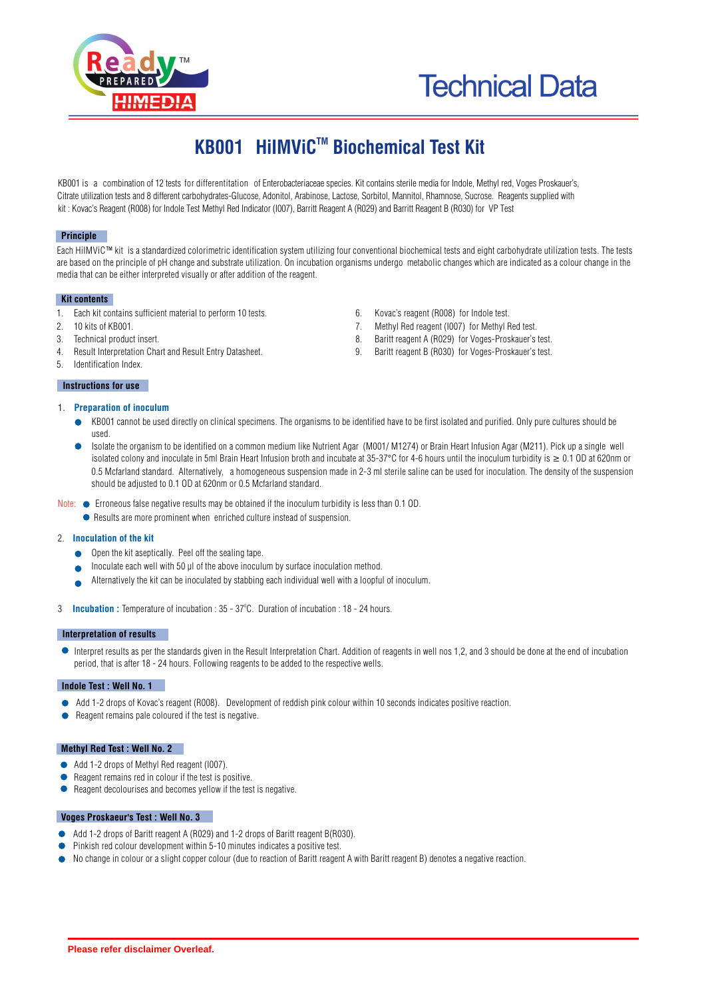



# **KB001 HiIMViC™ Biochemical Test Kit**

KB001 is a combination of 12 tests for differentitation of Enterobacteriaceae species. Kit contains sterile media for Indole, Methyl red, Voges Proskauer's, Citrate utilization tests and 8 different carbohydrates-Glucose, Adonitol, Arabinose, Lactose, Sorbitol, Mannitol, Rhamnose, Sucrose. Reagents supplied with kit : Kovac's Reagent (R008) for Indole Test Methyl Red Indicator (I007), Barritt Reagent A (R029) and Barritt Reagent B (R030) for VP Test

#### **Principle**

Each HiIMViC™ kit is a standardized colorimetric identification system utilizing four conventional biochemical tests and eight carbohydrate utilization tests. The tests are based on the principle of pH change and substrate utilization. On incubation organisms undergo metabolic changes which are indicated as a colour change in the media that can be either interpreted visually or after addition of the reagent.

#### **Kit contents**

- 1. Each kit contains sufficient material to perform 10 tests. 6. Kovac's reagent (R008) for Indole test.
- 2. 10 kits of KB001. 7. Methyl Red reagent (I007) for Methyl Red test.
- 3. Technical product insert. 8. Baritt reagent A (R029) for Voges-Proskauer's test.
- 4. Result Interpretation Chart and Result Entry Datasheet. 9. Baritt reagent B (R030) for Voges-Proskauer's test.
- 5. Identification Index.

#### **Instructions for use**

- 1. **Preparation of inoculum**
- - KB001 cannot be used directly on clinical specimens. The organisms to be identified have to be first isolated and purified. Only pure cultures should be used.
	- Isolate the organism to be identified on a common medium like Nutrient Agar (M001/ M1274) or Brain Heart Infusion Agar (M211). Pick up a single well isolated colony and inoculate in 5ml Brain Heart Infusion broth and incubate at 35-37°C for 4-6 hours until the inoculum turbidity is  $\geq 0.1$  OD at 620nm or 0.5 Mcfarland standard. Alternatively, a homogeneous suspension made in 2-3 ml sterile saline can be used for inoculation. The density of the suspension should be adjusted to 0.1 OD at 620nm or 0.5 Mcfarland standard.
- Note:  $\bullet$  Erroneous talse negative results may be obtained if the inoculum turbidity is less than 0.1 OD.
	- Results are more prominent when enriched culture instead of suspension.

#### 2. **Inoculation of the kit**

- Open the kit aseptically. Peel off the sealing tape.
- Inoculate each well with 50  $\mu$  of the above inoculum by surface inoculation method.
- Alternatively the kit can be inoculated by stabbing each individual well with a loopful of inoculum.
- 3 **Incubation**: Temperature of incubation : 35 37°C. Duration of incubation : 18 24 hours.

#### **Interpretation of results**

Interpret results as per the standards given in the Result Interpretation Chart. Addition of reagents in well nos 1,2, and 3 should be done at the end of incubation period, that is after 18 - 24 hours. Following reagents to be added to the respective wells.

#### **Indole Test : Well No. 1**

- Add 1-2 drops of Kovac's reagent (R008). Development of reddish pink colour within 10 seconds indicates positive reaction.
- Reagent remains pale coloured if the test is negative.

#### **Methyl Red Test : Well No. 2**

- Add 1-2 drops of Methyl Red reagent (I007)
- Reagent remains red in colour if the test is positive.
- Reagent decolourises and becomes yellow if the test is negative.

#### **Voges Proskaeur's Test : Well No. 3**

- Add 1-2 drops of Baritt reagent A (R029) and 1-2 drops of Baritt reagent B(R030).
- Pinkish red colour development within 5-10 minutes indicates a positive test.
- No change in colour or a slight copper colour (due to reaction of Baritt reagent A with Baritt reagent B) denotes a negative reaction.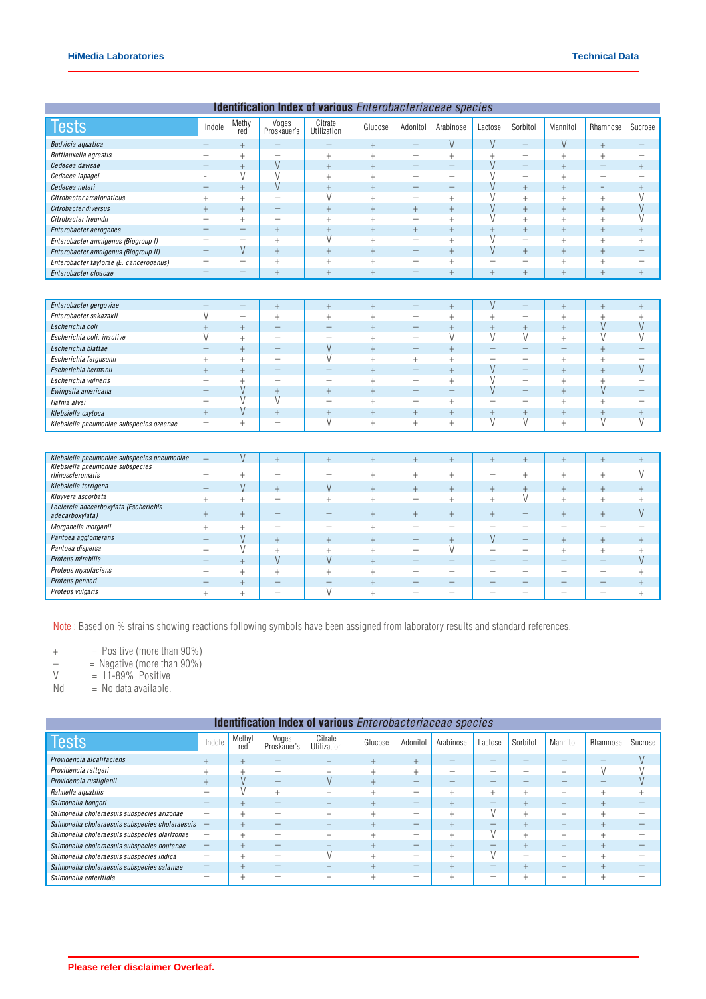| Identification Index of various Enterobacteriaceae species |                          |                          |                                  |                          |                |                          |                          |                          |                                  |                          |                          |                          |
|------------------------------------------------------------|--------------------------|--------------------------|----------------------------------|--------------------------|----------------|--------------------------|--------------------------|--------------------------|----------------------------------|--------------------------|--------------------------|--------------------------|
| <b>Tests</b>                                               | Indole                   | Methyl<br>red            | Voges<br>Proskauer's             | Citrate<br>Utilization   | Glucose        | Adonitol                 | Arabinose                | Lactose                  | Sorbitol                         | Mannitol                 | Rhamnose                 | Sucrose                  |
| Budvicia aquatica                                          | $\overline{\phantom{m}}$ | $\ddot{}$                |                                  | -                        | $\ddot{}$      | $=$                      | V                        | V                        | $\qquad \qquad -$                | V                        | $\ddot{}$                | -                        |
| Buttiauxella agrestis                                      |                          | $^{+}$                   | $\overline{\phantom{0}}$         | $^{+}$                   | $\ddot{}$      | $\overline{\phantom{0}}$ | $\! + \!$                | $+$                      | $\overline{\phantom{m}}$         | $^{+}$                   | $^{+}$                   | $\overline{\phantom{0}}$ |
| Cedecea davisae                                            | $\overline{\phantom{0}}$ | $^{+}$                   | V                                | $\ddot{}$                | $\overline{+}$ |                          | $\overline{\phantom{0}}$ | V                        | $\equiv$                         | $\ddot{}$                | $\overline{\phantom{0}}$ | $^{+}$                   |
| Cedecea lapagei                                            | $\bar{ }$                | V                        | V                                | $^{+}$                   | $\ddot{}$      | $\overline{\phantom{0}}$ | $\equiv$                 | V                        | $\overline{\phantom{0}}$         | $^{+}$                   | $\overline{\phantom{0}}$ | $\overline{\phantom{0}}$ |
| Cedecea neteri                                             |                          | $+$                      | $\vee$                           | $^{+}$                   | $\overline{+}$ | $\overline{\phantom{0}}$ |                          | $\vee$                   | $+$                              | $\ddot{}$                | $\qquad \qquad -$        | $^{+}$                   |
| Citrobacter amalonaticus                                   | $\! + \!\!\!\!$          | $^{+}$                   | $\qquad \qquad -$                | V                        | $^{+}$         | -                        | $+$                      | V                        | $^{+}$                           | $^{+}$                   | $^{+}$                   | V                        |
| Citrobacter diversus                                       | $^{+}$                   | $^{+}$                   | $\overline{\phantom{0}}$         | $+$                      | $\ddot{+}$     | $^{+}$                   | $\ddot{}$                | V                        | $+$                              | $\ddot{}$                | $^{+}$                   | V                        |
| Citrobacter freundii                                       | $\qquad \qquad -$        | $^{+}$                   | $\qquad \qquad -$                | $^{+}$                   | $\ddot{+}$     | $\overline{\phantom{0}}$ | $^{+}$                   | V                        | $^{+}$                           | $^{+}$                   | $^{+}$                   | V                        |
| Enterobacter aerogenes                                     |                          | -                        | $^{+}$                           | $\overline{+}$           | $\overline{+}$ | $+$                      | $\ddot{}$                | $\ddot{}$                | $\! +$                           | $\ddot{}$                | $\ddot{}$                | $^{+}$                   |
| Enterobacter amnigenus (Biogroup I)                        | $\qquad \qquad -$        | $\overline{\phantom{m}}$ | $^{+}$                           | $\overline{V}$           | $\overline{+}$ | $\overline{\phantom{0}}$ | $^{+}$                   | $\overline{V}$           | $\overline{\phantom{m}}$         | $^{+}$                   | $^{+}$                   | $^{+}$                   |
| Enterobacter amnigenus (Biogroup II)                       | $\equiv$                 | V                        | $\ddot{}$                        | $^{+}$                   | $\overline{+}$ | -                        | $\ddot{}$                | V                        | $^{+}$                           | $^{+}$                   | $^{+}$                   | -                        |
| Enterobacter taylorae (E. cancerogenus)                    |                          | —                        | $^{+}$                           | $^{+}$                   | $^{+}$         | $\overline{\phantom{0}}$ | $^{+}$                   | $\qquad \qquad -$        | $\overline{\phantom{m}}$         | $^{+}$                   | $^{+}$                   | $\overline{\phantom{0}}$ |
| Enterobacter cloacae                                       | $\qquad \qquad -$        | $\overline{\phantom{0}}$ | $^{+}$                           | $^{+}$                   | $\overline{+}$ | $\overline{\phantom{0}}$ | $\ddot{}$                | $+$                      | $\begin{array}{c} + \end{array}$ | $^{+}$                   | $\overline{+}$           | $^{+}$                   |
|                                                            |                          |                          |                                  |                          |                |                          |                          |                          |                                  |                          |                          |                          |
| Enterobacter gergoviae                                     | $\qquad \qquad -$        | $=$                      | $+$                              | $\ddot{}$                | $^{+}$         | $\equiv$                 | $+$                      | $\vee$                   | $\equiv$                         | $+$                      | $+$                      | $^{+}$                   |
| Enterobacter sakazakii                                     | V                        | $\overline{\phantom{0}}$ | $^{+}$                           | $^{+}$                   | $\ddot{}$      | $\overline{\phantom{0}}$ | $^{+}$                   | $^{+}$                   |                                  | $^{+}$                   | $^{+}$                   | $\ddot{}$                |
| Escherichia coli                                           | $^{+}$                   | $\ddot{}$                | $\overline{\phantom{0}}$         | $\overline{\phantom{0}}$ | $\overline{+}$ | —                        | $\ddot{}$                | $^{+}$                   | $\ddot{}$                        | $\ddot{}$                | V                        | V                        |
| Escherichia coli, inactive                                 | V                        | $^{+}$                   |                                  | $\overline{\phantom{0}}$ | $\ddot{}$      | $\overline{\phantom{0}}$ | V                        | V                        | V                                | $^{+}$                   | V                        | V                        |
| Escherichia blattae                                        | $\qquad \qquad -$        | $\ddot{}$                | $\overline{\phantom{0}}$         | V                        | $\overline{+}$ | $\overline{\phantom{0}}$ | $\ddot{}$                |                          |                                  | $\overline{\phantom{0}}$ | $\ddot{}$                |                          |
| Escherichia fergusonii                                     | $\! + \!\!\!\!$          | $^{+}$                   | $\overline{\phantom{0}}$         | V                        | $\ddot{}$      | $^{+}$                   | $^{+}$                   | $\overline{\phantom{a}}$ | $\overline{\phantom{m}}$         | $^{+}$                   | $^{+}$                   | $\equiv$                 |
| Escherichia hermanii                                       | $^{+}$                   | $\ddot{}$                | $\qquad \qquad -$                | $\overline{\phantom{0}}$ | $\overline{+}$ |                          | $\ddot{}$                | V                        | $\overline{\phantom{m}}$         | $+$                      | $\ddot{}$                | V                        |
| Escherichia vulneris                                       |                          | $^{+}$                   |                                  | $\overline{\phantom{0}}$ | $\ddot{+}$     | $\overline{\phantom{0}}$ | $^{+}$                   | V                        | $\overline{\phantom{m}}$         | $^{+}$                   | $^{+}$                   | $\overline{\phantom{0}}$ |
| Ewingella americana                                        | $\qquad \qquad -$        | V                        | $+$                              | $\ddot{}$                | $\overline{+}$ | $\overline{\phantom{0}}$ |                          | V                        | $\overline{\phantom{m}}$         | $\ddot{}$                | $\vee$                   | $\qquad \qquad -$        |
| Hafnia alvei                                               |                          | $\overline{V}$           | $\overline{V}$                   | $\overline{\phantom{0}}$ | $^{+}$         | $\overline{\phantom{0}}$ | $\ddot{}$                | $\overline{\phantom{m}}$ | $\overline{\phantom{m}}$         | $+$                      | $^{+}$                   | $\overline{\phantom{m}}$ |
| Klebsiella oxytoca                                         | $^{+}$                   | V                        | $^{+}$                           | $+$                      | $\overline{+}$ | $^{+}$                   | $\ddot{}$                | $\ddot{}$                | $+$                              | $\ddot{}$                | $\ddot{}$                | $^{+}$                   |
| Klebsiella pneumoniae subspecies ozaenae                   | $\overline{\phantom{0}}$ | $^{+}$                   | $\qquad \qquad -$                | $\overline{V}$           | $\ddot{}$      | $^{+}$                   | $^{+}$                   | $\overline{V}$           | $\vee$                           | $^{+}$                   | $\overline{\vee}$        | $\overline{\mathsf{V}}$  |
|                                                            |                          |                          |                                  |                          |                |                          |                          |                          |                                  |                          |                          |                          |
| Klebsiella pneumoniae subspecies pneumoniae                | $\qquad \qquad -$        | $\vee$                   | $+$                              | $^{+}$                   | $\overline{+}$ | $^{+}$                   | $+$                      | $+$                      | $+$                              | $+$                      | $^{+}$                   | $^{+}$                   |
| Klebsiella pneumoniae subspecies<br>rhinoscleromatis       |                          | $^{+}$                   | $\overline{\phantom{0}}$         | $\overline{\phantom{0}}$ | $^{+}$         | $^{+}$                   | $^{+}$                   | $\overline{\phantom{0}}$ | $^{+}$                           | $^{+}$                   | $^{+}$                   | $\vee$                   |
| Klebsiella terrigena                                       | $\qquad \qquad -$        | V                        | $^{+}$                           | V                        | $\overline{+}$ | $\ddot{}$                | $^{+}$                   | $^{+}$                   | $^{+}$                           | $^{+}$                   | $^{+}$                   | $^{+}$                   |
| Kluyvera ascorbata                                         | $^{+}$                   | $\ddot{}$                | $\overline{\phantom{0}}$         | $\ddot{}$                | $\overline{+}$ | $\overline{\phantom{0}}$ | $^{+}$                   | $^{+}$                   | V                                | $^{+}$                   | $^{+}$                   | $^{+}$                   |
| Leclercia adecarboxylata (Escherichia<br>adecarboxylata)   | $\ddot{}$                | $\overline{+}$           |                                  | $\overline{\phantom{0}}$ | $\ddot{+}$     | $^{+}$                   | $+$                      | $^{+}$                   | $\overline{\phantom{m}}$         | $\ddot{}$                | $^{+}$                   | V                        |
| Morganella morganii                                        | $\! + \!\!\!\!$          | $^{+}$                   | $\qquad \qquad -$                | $\overline{\phantom{0}}$ | $\ddot{+}$     | $\overline{\phantom{0}}$ | $\overline{\phantom{a}}$ | $\overline{\phantom{0}}$ | $\overline{\phantom{a}}$         | $\overline{\phantom{0}}$ | $\overline{\phantom{0}}$ | $\overline{\phantom{0}}$ |
| Pantoea agglomerans                                        | $\overline{\phantom{0}}$ | V                        | $+$                              | $\ddot{}$                | $\overline{+}$ | $=$                      | $\! + \!$                | $\vee$                   | $\overline{\phantom{0}}$         | $^{+}$                   | $\ddot{}$                | $^{+}$                   |
| Pantoea dispersa                                           | $\overline{\phantom{0}}$ | V                        | $\begin{array}{c} + \end{array}$ | $^{+}$                   | $^{+}$         | $\overline{\phantom{0}}$ | V                        | $\overline{\phantom{a}}$ | $\overline{\phantom{0}}$         | $^{+}$                   | $\! +$                   | $^{+}$                   |
| Proteus mirabilis                                          | $\overline{\phantom{0}}$ | $\ddot{}$                | V                                | $\vee$                   | $\overline{+}$ |                          | $\overline{\phantom{0}}$ |                          |                                  |                          | $\qquad \qquad$          | V                        |
| Proteus myxofaciens                                        |                          | $^{+}$                   | $^{+}$                           | $^{+}$                   | $^{+}$         | $\overline{\phantom{0}}$ | $\overline{\phantom{0}}$ | $\overline{\phantom{m}}$ | $\overline{\phantom{0}}$         | $\overline{\phantom{0}}$ | $\overline{\phantom{0}}$ | $^{+}$                   |
| Proteus penneri                                            | $\qquad \qquad -$        | $^{+}$                   | $\overline{\phantom{0}}$         | -                        | $\overline{+}$ |                          | -                        | $\overline{\phantom{a}}$ |                                  |                          | $\overline{\phantom{0}}$ | $^{+}$                   |
| Proteus vulgaris                                           | $^{+}$                   | $^{+}$                   | $\qquad \qquad -$                | $\overline{V}$           | $\ddot{}$      | $\overline{\phantom{0}}$ | $\overline{\phantom{0}}$ | $\overline{\phantom{m}}$ |                                  | $\overline{\phantom{0}}$ |                          | $^{+}$                   |
|                                                            |                          |                          |                                  |                          |                |                          |                          |                          |                                  |                          |                          |                          |

Note : Based on % strains showing reactions following symbols have been assigned from laboratory results and standard references.

+  $=$  Positive (more than 90%)<br> $=$  Negative (more than 90%)

 $-$  = Negative (more than  $90\%$ )

 $V = 11-89\%$  Positive

 $Nd = No data available.$ 

| <b>Identification Index of various</b> Enterobacteriaceae species |                          |               |                      |                        |         |          |           |                          |          |          |          |         |
|-------------------------------------------------------------------|--------------------------|---------------|----------------------|------------------------|---------|----------|-----------|--------------------------|----------|----------|----------|---------|
| <b>Tests</b>                                                      | Indole                   | Methyl<br>red | Voges<br>Proskauer's | Citrate<br>Utilization | Glucose | Adonitol | Arabinose | Lactose                  | Sorbitol | Mannitol | Rhamnose | Sucrose |
| Providencia alcalifaciens                                         | $\ddot{}$                |               |                      |                        |         |          |           |                          |          |          |          |         |
| Providencia rettgeri                                              |                          |               |                      |                        |         |          | -         | -                        |          |          |          |         |
| Providencia rustigianii                                           | ÷                        |               | _                    |                        |         |          | _         | $\overline{\phantom{a}}$ |          |          |          |         |
| Rahnella aquatilis                                                |                          |               |                      |                        |         |          |           | ÷                        |          |          |          |         |
| Salmonella bongori                                                | $\overline{\phantom{a}}$ |               |                      |                        |         |          |           |                          |          |          | $\div$   |         |
| Salmonella choleraesuis subspecies arizonae                       | $\overline{\phantom{a}}$ |               |                      |                        |         | -        |           |                          |          |          |          |         |
| Salmonella choleraesuis subspecies choleraesuis                   | $\overline{\phantom{m}}$ |               |                      |                        |         |          |           |                          |          |          |          |         |
| Salmonella choleraesuis subspecies diarizonae                     | $\overline{\phantom{a}}$ |               |                      |                        |         |          |           |                          |          |          |          |         |
| Salmonella choleraesuis subspecies houtenae                       |                          |               |                      |                        |         |          |           | -                        | ٠        |          |          |         |
| Salmonella choleraesuis subspecies indica                         | $\overline{\phantom{a}}$ |               |                      |                        |         |          |           |                          | -        |          |          |         |
| Salmonella choleraesuis subspecies salamae                        |                          |               |                      |                        |         |          |           |                          | ÷        |          | ÷        |         |
| Salmonella enteritidis                                            | $\overline{\phantom{a}}$ |               |                      |                        |         |          |           | -                        |          |          |          |         |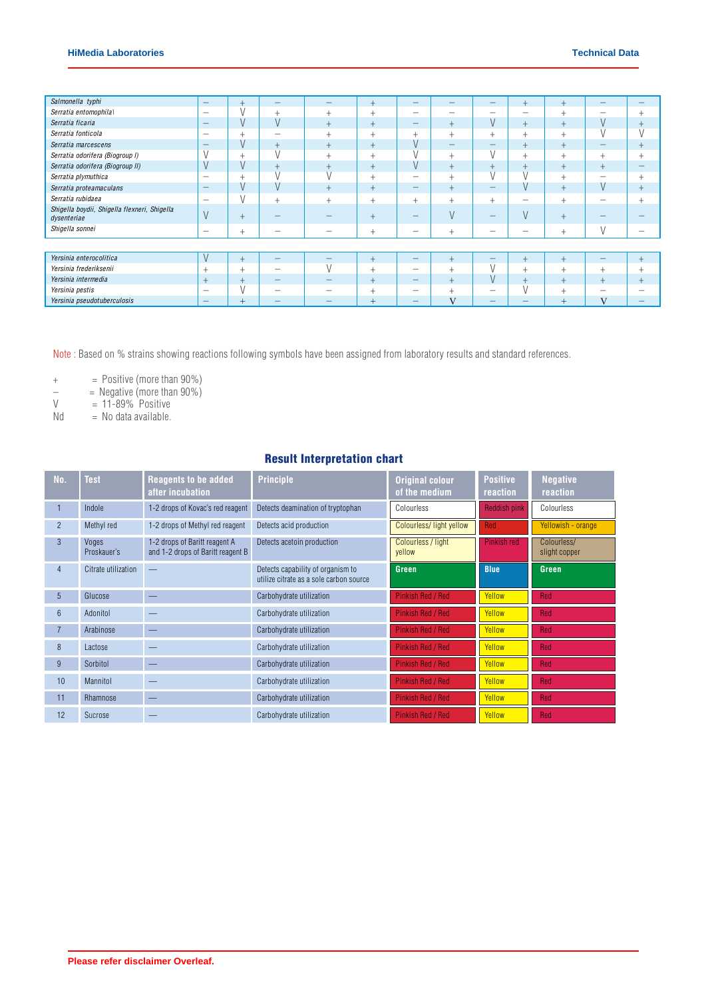| Salmonella typhi                                            | $\hspace{0.1mm}-\hspace{0.1mm}$ |       | -                        |                          | $+$            |                          |                                           |                                           | $^{+}$    |        | $\overline{\phantom{a}}$ | -                        |
|-------------------------------------------------------------|---------------------------------|-------|--------------------------|--------------------------|----------------|--------------------------|-------------------------------------------|-------------------------------------------|-----------|--------|--------------------------|--------------------------|
| Serratia entomophila\                                       | $\overline{\phantom{a}}$        |       | $^{+}$                   | $^{+}$                   | $^{+}$         | $\overline{\phantom{a}}$ | $\overline{\phantom{a}}$                  | _                                         | _         |        |                          | $\ddot{}$                |
| Serratia ficaria                                            | $\qquad \qquad -$               | v     | V                        | $^{+}$                   | $^{+}$         |                          | $+$                                       | V                                         | $+$       | $^{+}$ |                          | $^{+}$                   |
| Serratia fonticola                                          | $\overline{\phantom{a}}$        | ÷     | -                        | $^{+}$                   | $\ddot{}$      | $^{+}$                   | $^{+}$                                    | $^{+}$                                    | $^{+}$    | $^{+}$ |                          |                          |
| Serratia marcescens                                         |                                 | V     | $^{+}$                   | $^{+}$                   | $+$            |                          | $\qquad \qquad \overline{\qquad \qquad }$ | $\qquad \qquad \overline{\qquad \qquad }$ | $^{+}$    |        | $\overline{\phantom{a}}$ | $^{+}$                   |
| Serratia odorifera (Biogroup I)                             |                                 |       | $\mathbf{1}$             | $^+$                     | $\overline{+}$ |                          | $+$                                       | V                                         | $^{+}$    |        | $^+$                     | $\ddot{}$                |
| Serratia odorifera (Biogroup II)                            |                                 |       | $+$                      | $^{+}$                   | $+$            |                          | $+$                                       | $^{+}$                                    | $^{+}$    | $+$    | $^{+}$                   | $\overline{\phantom{a}}$ |
| Serratia plymuthica                                         | $\overline{\phantom{a}}$        |       |                          |                          | $^{+}$         | $\overline{\phantom{a}}$ | $+$                                       |                                           |           | $^{+}$ |                          | $\ddot{}$                |
| Serratia proteamaculans                                     | $\overline{\phantom{a}}$        | v     | V                        | $^{+}$                   | $+$            | $\overline{\phantom{a}}$ | $+$                                       |                                           | V         |        | $\mathcal{U}$            | $+$                      |
| Serratia rubidaea                                           | $\overline{\phantom{m}}$        |       | $+$                      | $^{+}$                   | $\ddot{}$      | $\ddot{}$                | $+$                                       | $\ddot{}$                                 | -         |        |                          |                          |
| Shigella boydii, Shigella flexneri, Shigella<br>dysenteriae |                                 | $\pm$ |                          |                          | $+$            |                          | V                                         | -                                         | V         |        |                          |                          |
| Shigella sonnei                                             | $\overline{\phantom{m}}$        | ÷.    | -                        | $\overline{\phantom{a}}$ | $^{+}$         | -                        | ÷                                         | -                                         | -         |        |                          | -                        |
|                                                             |                                 |       |                          |                          |                |                          |                                           |                                           |           |        |                          |                          |
| Yersinia enterocolitica                                     | V                               |       |                          | $\overline{\phantom{a}}$ | $\pm$          | $\overline{\phantom{a}}$ |                                           | –                                         | $\ddot{}$ |        | $\sim$                   | $+$                      |
| Yersinia frederiksenii                                      | $\ddot{}$                       | $^+$  | -                        |                          | $^{+}$         | $\overline{\phantom{a}}$ | $+$                                       | V                                         | $^{+}$    | $^{+}$ | $^{+}$                   | $^{+}$                   |
| Yersinia intermedia                                         | $+$                             |       |                          |                          | $+$            |                          |                                           | V                                         | $^{+}$    |        | $^{+}$                   | $^{+}$                   |
| Yersinia pestis                                             | $\overline{\phantom{a}}$        |       | -                        |                          | $\pm$          |                          | ÷.                                        | -                                         |           |        |                          |                          |
| Yersinia pseudotuberculosis                                 | $\qquad \qquad -$               | $^+$  | $\overline{\phantom{a}}$ |                          | $^{+}$         | $\overline{\phantom{a}}$ | $\mathbf{V}$                              | –                                         |           | $^+$   |                          |                          |

Note : Based on % strains showing reactions following symbols have been assigned from laboratory results and standard references.

 $+$  = Positive (more than  $90\%$ )

 $-$  = Negative (more than  $90\%$ )

 $V = 11-89\%$  Positive

 $Nd = No data available.$ 

## Result Interpretation chart

| No.             | Test                 | <b>Reagents to be added</b><br>after incubation                    | <b>Principle</b>                                                             | <b>Original colour</b><br>of the medium | <b>Positive</b><br>reaction | <b>Negative</b><br>reaction  |
|-----------------|----------------------|--------------------------------------------------------------------|------------------------------------------------------------------------------|-----------------------------------------|-----------------------------|------------------------------|
|                 | Indole               | 1-2 drops of Kovac's red reagent                                   | Detects deamination of tryptophan                                            | Colourless                              | <b>Reddish pink</b>         | Colourless                   |
| $\overline{2}$  | Methyl red           | 1-2 drops of Methyl red reagent                                    | Detects acid production                                                      | Colourless/light yellow                 | Red                         | Yellowish - orange           |
| $\mathcal{S}$   | Voges<br>Proskauer's | 1-2 drops of Baritt reagent A<br>and 1-2 drops of Baritt reagent B | Detects acetoin production                                                   | Colourless / light<br>yellow            | Pinkish red                 | Colourless/<br>slight copper |
| $\overline{4}$  | Citrate utilization  |                                                                    | Detects capability of organism to<br>utilize citrate as a sole carbon source | <b>Green</b>                            | <b>Blue</b>                 | Green                        |
| $\overline{5}$  | Glucose              |                                                                    | Carbohydrate utilization                                                     | <b>Pinkish Red / Red</b>                | Yellow                      | Red                          |
| $6\overline{6}$ | Adonitol             |                                                                    | Carbohydrate utilization                                                     | <b>Pinkish Red / Red</b>                | Yellow                      | Red                          |
|                 | Arabinose            |                                                                    | Carbohydrate utilization                                                     | <b>Pinkish Red / Red</b>                | Yellow                      | Red                          |
| $\mathsf{R}$    | Lactose              |                                                                    | Carbohydrate utilization                                                     | Pinkish Red / Red                       | Yellow                      | Red                          |
| 9               | Sorbitol             |                                                                    | Carbohydrate utilization                                                     | <b>Pinkish Red / Red</b>                | Yellow                      | Red                          |
| 10              | Mannitol             |                                                                    | Carbohydrate utilization                                                     | Pinkish Red / Red                       | Yellow                      | <b>Red</b>                   |
| 11              | Rhamnose             |                                                                    | Carbohydrate utilization                                                     | Pinkish Red / Red                       | Yellow                      | <b>Red</b>                   |
| 12              | Sucrose              |                                                                    | Carbohydrate utilization                                                     | Pinkish Red / Red                       | Yellow                      | <b>Red</b>                   |